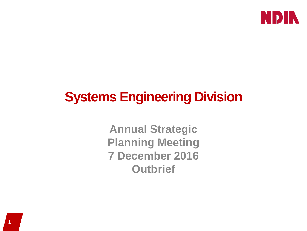

# **Systems Engineering Division**

**Annual Strategic Planning Meeting 7 December 2016 Outbrief**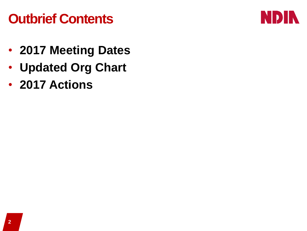### **Outbrief Contents**



- **2017 Meeting Dates**
- **Updated Org Chart**
- **2017 Actions**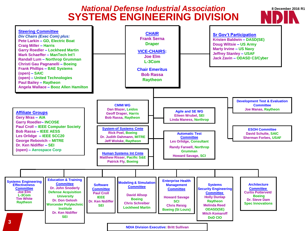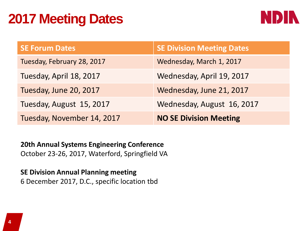### **2017 Meeting Dates**



| <b>SE Forum Dates</b>      | <b>SE Division Meeting Dates</b> |
|----------------------------|----------------------------------|
| Tuesday, February 28, 2017 | Wednesday, March 1, 2017         |
| Tuesday, April 18, 2017    | Wednesday, April 19, 2017        |
| Tuesday, June 20, 2017     | Wednesday, June 21, 2017         |
| Tuesday, August 15, 2017   | Wednesday, August 16, 2017       |
| Tuesday, November 14, 2017 | <b>NO SE Division Meeting</b>    |

**20th Annual Systems Engineering Conference**  October 23-26, 2017, Waterford, Springfield VA

**SE Division Annual Planning meeting** 6 December 2017, D.C., specific location tbd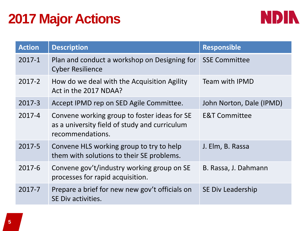## **2017 Major Actions**



| <b>Action</b> | <b>Description</b>                                                                                                | <b>Responsible</b>       |
|---------------|-------------------------------------------------------------------------------------------------------------------|--------------------------|
| $2017 - 1$    | Plan and conduct a workshop on Designing for<br><b>Cyber Resilience</b>                                           | <b>SSE Committee</b>     |
| 2017-2        | How do we deal with the Acquisition Agility<br>Act in the 2017 NDAA?                                              | <b>Team with IPMD</b>    |
| 2017-3        | Accept IPMD rep on SED Agile Committee.                                                                           | John Norton, Dale (IPMD) |
| 2017-4        | Convene working group to foster ideas for SE<br>as a university field of study and curriculum<br>recommendations. | <b>E&amp;T Committee</b> |
| 2017-5        | Convene HLS working group to try to help<br>them with solutions to their SE problems.                             | J. Elm, B. Rassa         |
| 2017-6        | Convene gov't/industry working group on SE<br>processes for rapid acquisition.                                    | B. Rassa, J. Dahmann     |
| 2017-7        | Prepare a brief for new new gov't officials on<br>SE Div activities.                                              | SE Div Leadership        |